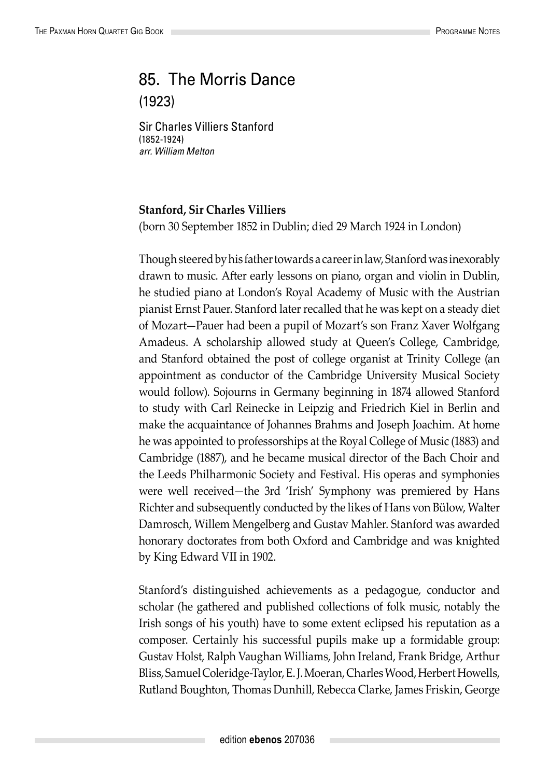## 85. The Morris Dance (1923)

Sir Charles Villiers Stanford (1852-1924) *arr. William Melton*

## **Stanford, Sir Charles Villiers**

(born 30 September 1852 in Dublin; died 29 March 1924 in London)

Though steered by his father towards a career in law, Stanford was inexorably drawn to music. After early lessons on piano, organ and violin in Dublin, he studied piano at London's Royal Academy of Music with the Austrian pianist Ernst Pauer. Stanford later recalled that he was kept on a steady diet of Mozart—Pauer had been a pupil of Mozart's son Franz Xaver Wolfgang Amadeus. A scholarship allowed study at Queen's College, Cambridge, and Stanford obtained the post of college organist at Trinity College (an appointment as conductor of the Cambridge University Musical Society would follow). Sojourns in Germany beginning in 1874 allowed Stanford to study with Carl Reinecke in Leipzig and Friedrich Kiel in Berlin and make the acquaintance of Johannes Brahms and Joseph Joachim. At home he was appointed to professorships at the Royal College of Music (1883) and Cambridge (1887), and he became musical director of the Bach Choir and the Leeds Philharmonic Society and Festival. His operas and symphonies were well received—the 3rd 'Irish' Symphony was premiered by Hans Richter and subsequently conducted by the likes of Hans von Bülow, Walter Damrosch, Willem Mengelberg and Gustav Mahler. Stanford was awarded honorary doctorates from both Oxford and Cambridge and was knighted by King Edward VII in 1902.

Stanford's distinguished achievements as a pedagogue, conductor and scholar (he gathered and published collections of folk music, notably the Irish songs of his youth) have to some extent eclipsed his reputation as a composer. Certainly his successful pupils make up a formidable group: Gustav Holst, Ralph Vaughan Williams, John Ireland, Frank Bridge, Arthur Bliss, Samuel Coleridge-Taylor, E. J. Moeran, Charles Wood, Herbert Howells, Rutland Boughton, Thomas Dunhill, Rebecca Clarke, James Friskin, George